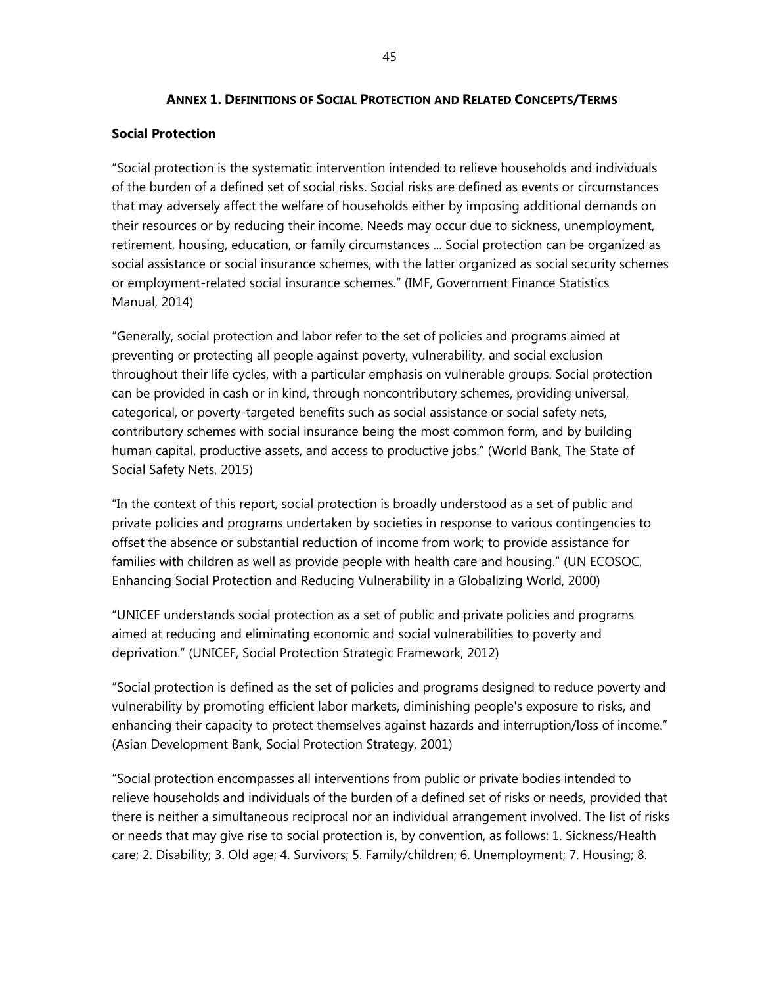#### **ANNEX 1. DEFINITIONS OF SOCIAL PROTECTION AND RELATED CONCEPTS/TERMS**

#### **Social Protection**

"Social protection is the systematic intervention intended to relieve households and individuals of the burden of a defined set of social risks. Social risks are defined as events or circumstances that may adversely affect the welfare of households either by imposing additional demands on their resources or by reducing their income. Needs may occur due to sickness, unemployment, retirement, housing, education, or family circumstances ... Social protection can be organized as social assistance or social insurance schemes, with the latter organized as social security schemes or employment-related social insurance schemes." (IMF, Government Finance Statistics Manual, 2014)

"Generally, social protection and labor refer to the set of policies and programs aimed at preventing or protecting all people against poverty, vulnerability, and social exclusion throughout their life cycles, with a particular emphasis on vulnerable groups. Social protection can be provided in cash or in kind, through noncontributory schemes, providing universal, categorical, or poverty-targeted benefits such as social assistance or social safety nets, contributory schemes with social insurance being the most common form, and by building human capital, productive assets, and access to productive jobs." (World Bank, The State of Social Safety Nets, 2015)

"In the context of this report, social protection is broadly understood as a set of public and private policies and programs undertaken by societies in response to various contingencies to offset the absence or substantial reduction of income from work; to provide assistance for families with children as well as provide people with health care and housing." (UN ECOSOC, Enhancing Social Protection and Reducing Vulnerability in a Globalizing World, 2000)

"UNICEF understands social protection as a set of public and private policies and programs aimed at reducing and eliminating economic and social vulnerabilities to poverty and deprivation." (UNICEF, Social Protection Strategic Framework, 2012)

"Social protection is defined as the set of policies and programs designed to reduce poverty and vulnerability by promoting efficient labor markets, diminishing people's exposure to risks, and enhancing their capacity to protect themselves against hazards and interruption/loss of income." (Asian Development Bank, Social Protection Strategy, 2001)

"Social protection encompasses all interventions from public or private bodies intended to relieve households and individuals of the burden of a defined set of risks or needs, provided that there is neither a simultaneous reciprocal nor an individual arrangement involved. The list of risks or needs that may give rise to social protection is, by convention, as follows: 1. Sickness/Health care; 2. Disability; 3. Old age; 4. Survivors; 5. Family/children; 6. Unemployment; 7. Housing; 8.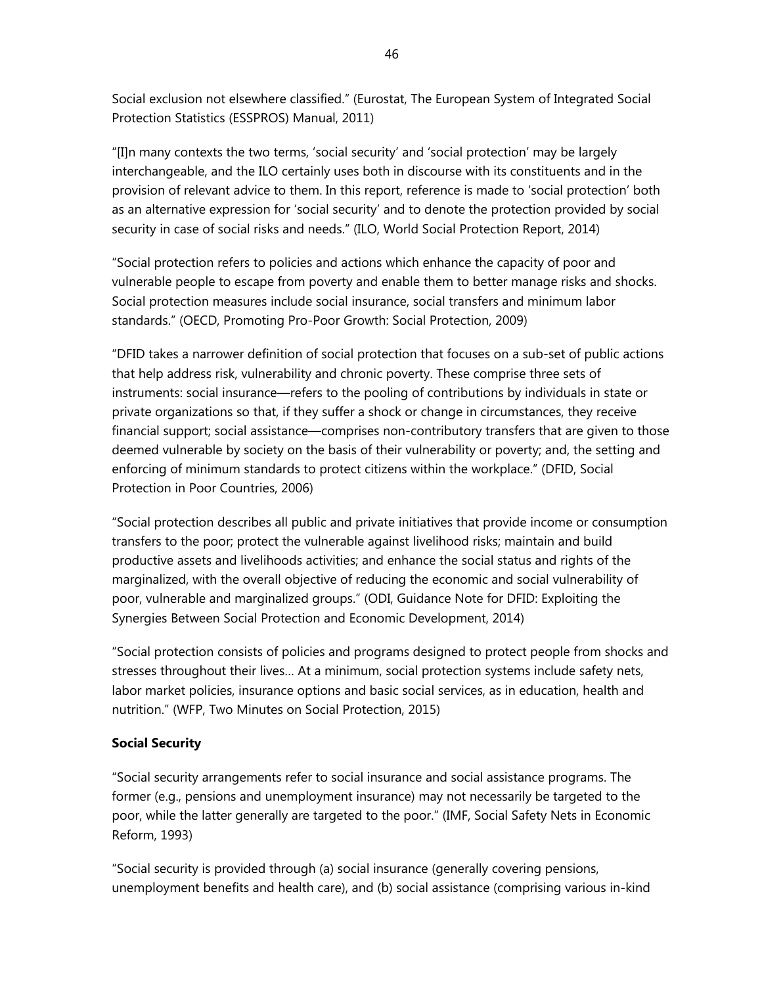Social exclusion not elsewhere classified." (Eurostat, The European System of Integrated Social Protection Statistics (ESSPROS) Manual, 2011)

"[I]n many contexts the two terms, 'social security' and 'social protection' may be largely interchangeable, and the ILO certainly uses both in discourse with its constituents and in the provision of relevant advice to them. In this report, reference is made to 'social protection' both as an alternative expression for 'social security' and to denote the protection provided by social security in case of social risks and needs." (ILO, World Social Protection Report, 2014)

"Social protection refers to policies and actions which enhance the capacity of poor and vulnerable people to escape from poverty and enable them to better manage risks and shocks. Social protection measures include social insurance, social transfers and minimum labor standards." (OECD, Promoting Pro-Poor Growth: Social Protection, 2009)

"DFID takes a narrower definition of social protection that focuses on a sub-set of public actions that help address risk, vulnerability and chronic poverty. These comprise three sets of instruments: social insurance—refers to the pooling of contributions by individuals in state or private organizations so that, if they suffer a shock or change in circumstances, they receive financial support; social assistance—comprises non-contributory transfers that are given to those deemed vulnerable by society on the basis of their vulnerability or poverty; and, the setting and enforcing of minimum standards to protect citizens within the workplace." (DFID, Social Protection in Poor Countries, 2006)

"Social protection describes all public and private initiatives that provide income or consumption transfers to the poor; protect the vulnerable against livelihood risks; maintain and build productive assets and livelihoods activities; and enhance the social status and rights of the marginalized, with the overall objective of reducing the economic and social vulnerability of poor, vulnerable and marginalized groups." (ODI, Guidance Note for DFID: Exploiting the Synergies Between Social Protection and Economic Development, 2014)

"Social protection consists of policies and programs designed to protect people from shocks and stresses throughout their lives… At a minimum, social protection systems include safety nets, labor market policies, insurance options and basic social services, as in education, health and nutrition." (WFP, Two Minutes on Social Protection, 2015)

# **Social Security**

"Social security arrangements refer to social insurance and social assistance programs. The former (e.g., pensions and unemployment insurance) may not necessarily be targeted to the poor, while the latter generally are targeted to the poor." (IMF, Social Safety Nets in Economic Reform, 1993)

"Social security is provided through (a) social insurance (generally covering pensions, unemployment benefits and health care), and (b) social assistance (comprising various in-kind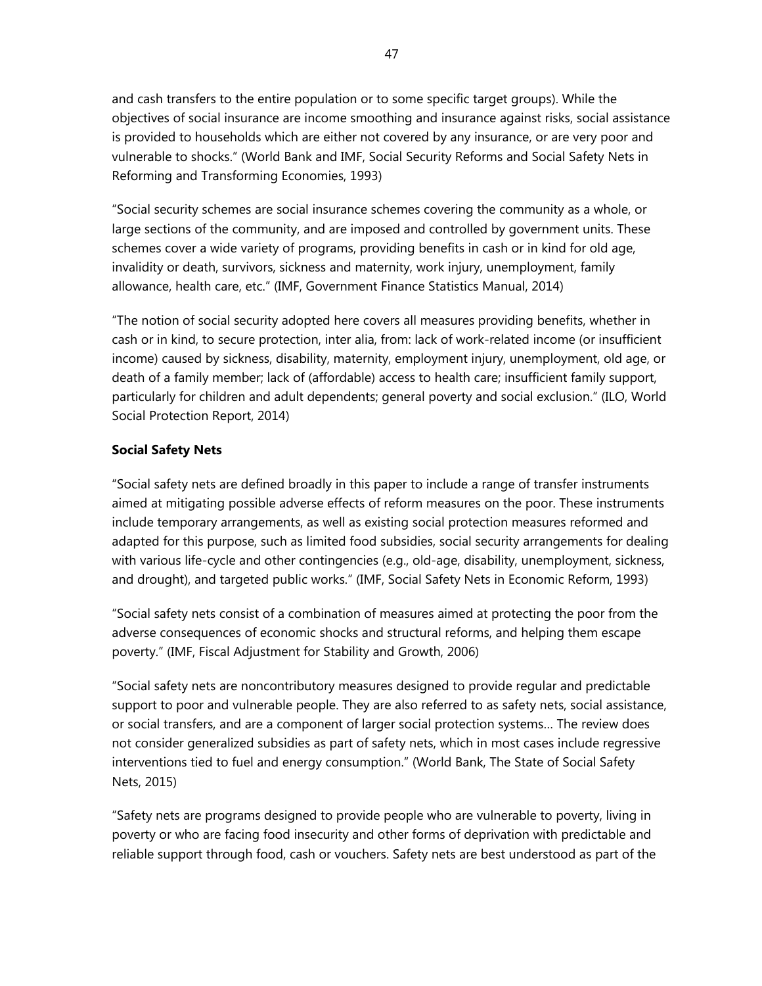and cash transfers to the entire population or to some specific target groups). While the objectives of social insurance are income smoothing and insurance against risks, social assistance is provided to households which are either not covered by any insurance, or are very poor and vulnerable to shocks." (World Bank and IMF, Social Security Reforms and Social Safety Nets in Reforming and Transforming Economies, 1993)

"Social security schemes are social insurance schemes covering the community as a whole, or large sections of the community, and are imposed and controlled by government units. These schemes cover a wide variety of programs, providing benefits in cash or in kind for old age, invalidity or death, survivors, sickness and maternity, work injury, unemployment, family allowance, health care, etc." (IMF, Government Finance Statistics Manual, 2014)

"The notion of social security adopted here covers all measures providing benefits, whether in cash or in kind, to secure protection, inter alia, from: lack of work-related income (or insufficient income) caused by sickness, disability, maternity, employment injury, unemployment, old age, or death of a family member; lack of (affordable) access to health care; insufficient family support, particularly for children and adult dependents; general poverty and social exclusion." (ILO, World Social Protection Report, 2014)

## **Social Safety Nets**

"Social safety nets are defined broadly in this paper to include a range of transfer instruments aimed at mitigating possible adverse effects of reform measures on the poor. These instruments include temporary arrangements, as well as existing social protection measures reformed and adapted for this purpose, such as limited food subsidies, social security arrangements for dealing with various life-cycle and other contingencies (e.g., old-age, disability, unemployment, sickness, and drought), and targeted public works." (IMF, Social Safety Nets in Economic Reform, 1993)

"Social safety nets consist of a combination of measures aimed at protecting the poor from the adverse consequences of economic shocks and structural reforms, and helping them escape poverty." (IMF, Fiscal Adjustment for Stability and Growth, 2006)

"Social safety nets are noncontributory measures designed to provide regular and predictable support to poor and vulnerable people. They are also referred to as safety nets, social assistance, or social transfers, and are a component of larger social protection systems… The review does not consider generalized subsidies as part of safety nets, which in most cases include regressive interventions tied to fuel and energy consumption." (World Bank, The State of Social Safety Nets, 2015)

"Safety nets are programs designed to provide people who are vulnerable to poverty, living in poverty or who are facing food insecurity and other forms of deprivation with predictable and reliable support through food, cash or vouchers. Safety nets are best understood as part of the